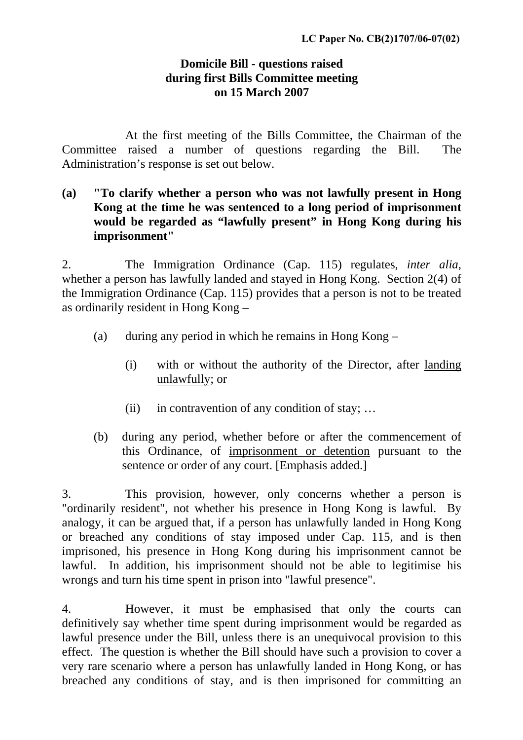## **Domicile Bill - questions raised during first Bills Committee meeting on 15 March 2007**

 At the first meeting of the Bills Committee, the Chairman of the Committee raised a number of questions regarding the Bill. The Administration's response is set out below.

**(a) "To clarify whether a person who was not lawfully present in Hong Kong at the time he was sentenced to a long period of imprisonment would be regarded as "lawfully present" in Hong Kong during his imprisonment"** 

2. The Immigration Ordinance (Cap. 115) regulates, *inter alia*, whether a person has lawfully landed and stayed in Hong Kong. Section 2(4) of the Immigration Ordinance (Cap. 115) provides that a person is not to be treated as ordinarily resident in Hong Kong –

- (a) during any period in which he remains in Hong Kong
	- (i) with or without the authority of the Director, after landing unlawfully; or
	- (ii) in contravention of any condition of stay; ...
- (b) during any period, whether before or after the commencement of this Ordinance, of imprisonment or detention pursuant to the sentence or order of any court. [Emphasis added.]

3. This provision, however, only concerns whether a person is "ordinarily resident", not whether his presence in Hong Kong is lawful. By analogy, it can be argued that, if a person has unlawfully landed in Hong Kong or breached any conditions of stay imposed under Cap. 115, and is then imprisoned, his presence in Hong Kong during his imprisonment cannot be lawful. In addition, his imprisonment should not be able to legitimise his wrongs and turn his time spent in prison into "lawful presence".

4. However, it must be emphasised that only the courts can definitively say whether time spent during imprisonment would be regarded as lawful presence under the Bill, unless there is an unequivocal provision to this effect. The question is whether the Bill should have such a provision to cover a very rare scenario where a person has unlawfully landed in Hong Kong, or has breached any conditions of stay, and is then imprisoned for committing an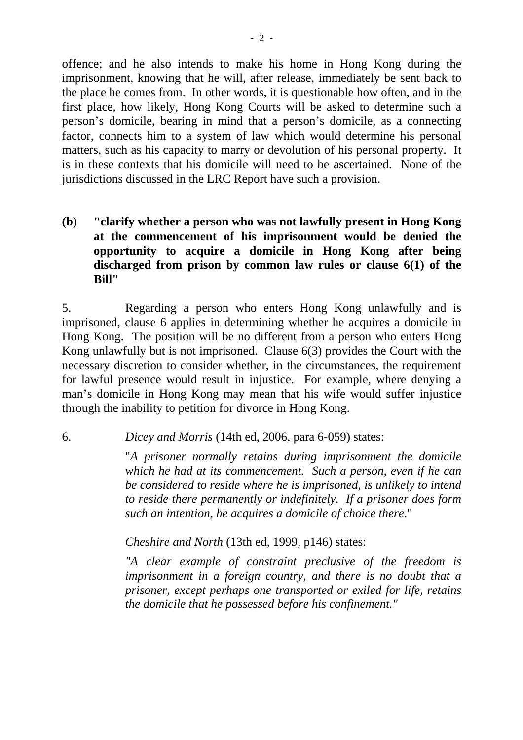offence; and he also intends to make his home in Hong Kong during the imprisonment, knowing that he will, after release, immediately be sent back to the place he comes from. In other words, it is questionable how often, and in the first place, how likely, Hong Kong Courts will be asked to determine such a person's domicile, bearing in mind that a person's domicile, as a connecting factor, connects him to a system of law which would determine his personal matters, such as his capacity to marry or devolution of his personal property. It is in these contexts that his domicile will need to be ascertained. None of the jurisdictions discussed in the LRC Report have such a provision.

**(b) "clarify whether a person who was not lawfully present in Hong Kong at the commencement of his imprisonment would be denied the opportunity to acquire a domicile in Hong Kong after being discharged from prison by common law rules or clause 6(1) of the Bill"** 

5. Regarding a person who enters Hong Kong unlawfully and is imprisoned, clause 6 applies in determining whether he acquires a domicile in Hong Kong. The position will be no different from a person who enters Hong Kong unlawfully but is not imprisoned. Clause 6(3) provides the Court with the necessary discretion to consider whether, in the circumstances, the requirement for lawful presence would result in injustice. For example, where denying a man's domicile in Hong Kong may mean that his wife would suffer injustice through the inability to petition for divorce in Hong Kong.

6. *Dicey and Morris* (14th ed, 2006, para 6-059) states:

 "*A prisoner normally retains during imprisonment the domicile which he had at its commencement. Such a person, even if he can be considered to reside where he is imprisoned, is unlikely to intend to reside there permanently or indefinitely. If a prisoner does form such an intention, he acquires a domicile of choice there*."

 *Cheshire and North* (13th ed, 1999, p146) states:

 *"A clear example of constraint preclusive of the freedom is imprisonment in a foreign country, and there is no doubt that a prisoner, except perhaps one transported or exiled for life, retains the domicile that he possessed before his confinement."*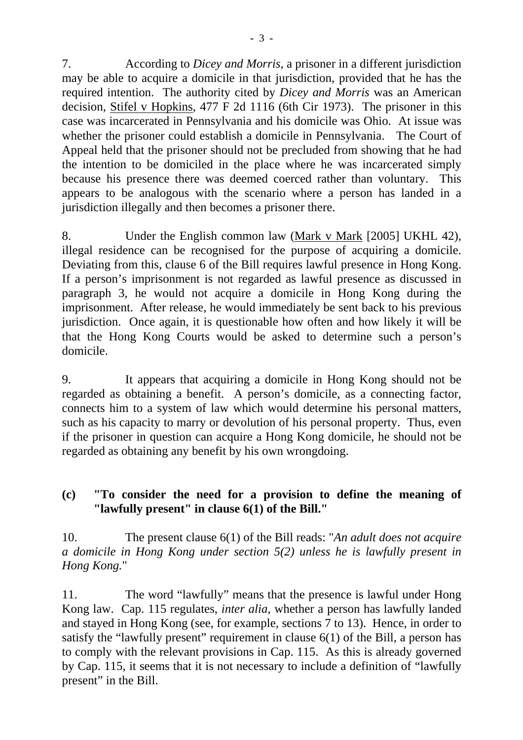7. According to *Dicey and Morris*, a prisoner in a different jurisdiction may be able to acquire a domicile in that jurisdiction, provided that he has the required intention. The authority cited by *Dicey and Morris* was an American decision, Stifel v Hopkins, 477 F 2d 1116 (6th Cir 1973). The prisoner in this case was incarcerated in Pennsylvania and his domicile was Ohio. At issue was whether the prisoner could establish a domicile in Pennsylvania. The Court of Appeal held that the prisoner should not be precluded from showing that he had the intention to be domiciled in the place where he was incarcerated simply because his presence there was deemed coerced rather than voluntary. This appears to be analogous with the scenario where a person has landed in a jurisdiction illegally and then becomes a prisoner there.

8. Under the English common law (Mark v Mark [2005] UKHL 42), illegal residence can be recognised for the purpose of acquiring a domicile. Deviating from this, clause 6 of the Bill requires lawful presence in Hong Kong. If a person's imprisonment is not regarded as lawful presence as discussed in paragraph 3, he would not acquire a domicile in Hong Kong during the imprisonment. After release, he would immediately be sent back to his previous jurisdiction. Once again, it is questionable how often and how likely it will be that the Hong Kong Courts would be asked to determine such a person's domicile.

9. It appears that acquiring a domicile in Hong Kong should not be regarded as obtaining a benefit. A person's domicile, as a connecting factor, connects him to a system of law which would determine his personal matters, such as his capacity to marry or devolution of his personal property. Thus, even if the prisoner in question can acquire a Hong Kong domicile, he should not be regarded as obtaining any benefit by his own wrongdoing.

## **(c) "To consider the need for a provision to define the meaning of "lawfully present" in clause 6(1) of the Bill."**

10. The present clause 6(1) of the Bill reads: "*An adult does not acquire a domicile in Hong Kong under section 5(2) unless he is lawfully present in Hong Kong.*"

11. The word "lawfully" means that the presence is lawful under Hong Kong law. Cap. 115 regulates, *inter alia*, whether a person has lawfully landed and stayed in Hong Kong (see, for example, sections 7 to 13). Hence, in order to satisfy the "lawfully present" requirement in clause 6(1) of the Bill, a person has to comply with the relevant provisions in Cap. 115. As this is already governed by Cap. 115, it seems that it is not necessary to include a definition of "lawfully present" in the Bill.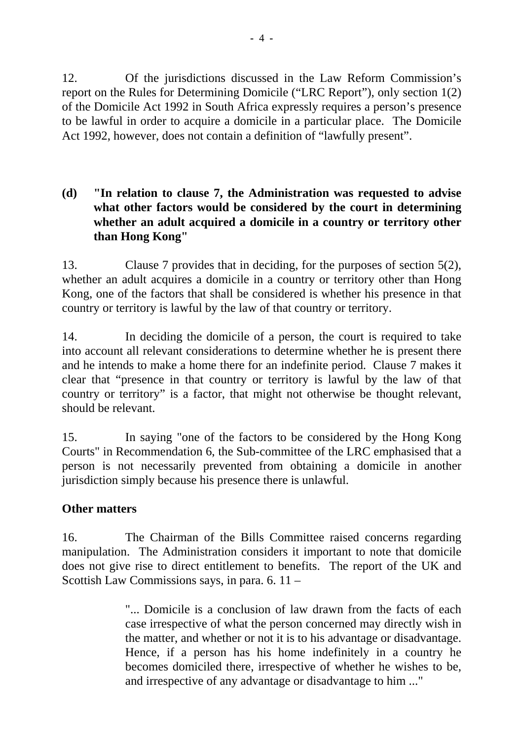12. Of the jurisdictions discussed in the Law Reform Commission's report on the Rules for Determining Domicile ("LRC Report"), only section 1(2) of the Domicile Act 1992 in South Africa expressly requires a person's presence to be lawful in order to acquire a domicile in a particular place. The Domicile Act 1992, however, does not contain a definition of "lawfully present".

## **(d) "In relation to clause 7, the Administration was requested to advise what other factors would be considered by the court in determining whether an adult acquired a domicile in a country or territory other than Hong Kong"**

13. Clause 7 provides that in deciding, for the purposes of section 5(2), whether an adult acquires a domicile in a country or territory other than Hong Kong, one of the factors that shall be considered is whether his presence in that country or territory is lawful by the law of that country or territory.

14. In deciding the domicile of a person, the court is required to take into account all relevant considerations to determine whether he is present there and he intends to make a home there for an indefinite period. Clause 7 makes it clear that "presence in that country or territory is lawful by the law of that country or territory" is a factor, that might not otherwise be thought relevant, should be relevant.

15. In saying "one of the factors to be considered by the Hong Kong Courts" in Recommendation 6, the Sub-committee of the LRC emphasised that a person is not necessarily prevented from obtaining a domicile in another jurisdiction simply because his presence there is unlawful.

## **Other matters**

16. The Chairman of the Bills Committee raised concerns regarding manipulation. The Administration considers it important to note that domicile does not give rise to direct entitlement to benefits. The report of the UK and Scottish Law Commissions says, in para. 6. 11 –

> "... Domicile is a conclusion of law drawn from the facts of each case irrespective of what the person concerned may directly wish in the matter, and whether or not it is to his advantage or disadvantage. Hence, if a person has his home indefinitely in a country he becomes domiciled there, irrespective of whether he wishes to be, and irrespective of any advantage or disadvantage to him ..."